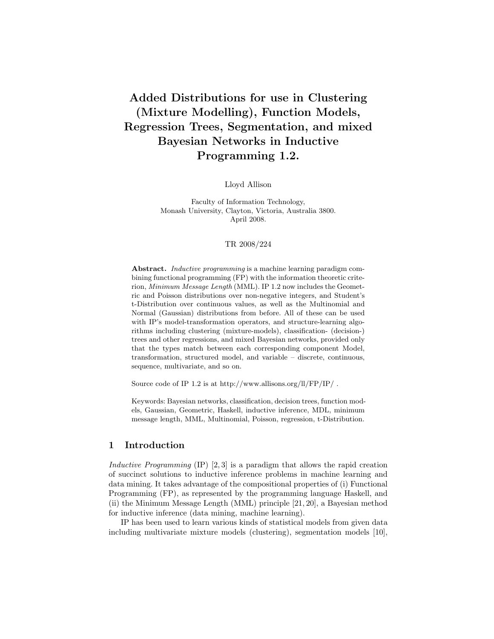# Added Distributions for use in Clustering (Mixture Modelling), Function Models, Regression Trees, Segmentation, and mixed Bayesian Networks in Inductive Programming 1.2.

Lloyd Allison

Faculty of Information Technology, Monash University, Clayton, Victoria, Australia 3800. April 2008.

#### TR 2008/224

Abstract. Inductive programming is a machine learning paradigm combining functional programming (FP) with the information theoretic criterion, Minimum Message Length (MML). IP 1.2 now includes the Geometric and Poisson distributions over non-negative integers, and Student's t-Distribution over continuous values, as well as the Multinomial and Normal (Gaussian) distributions from before. All of these can be used with IP's model-transformation operators, and structure-learning algorithms including clustering (mixture-models), classification- (decision-) trees and other regressions, and mixed Bayesian networks, provided only that the types match between each corresponding component Model, transformation, structured model, and variable – discrete, continuous, sequence, multivariate, and so on.

Source code of IP 1.2 is at http://www.allisons.org/ll/FP/IP/ .

Keywords: Bayesian networks, classification, decision trees, function models, Gaussian, Geometric, Haskell, inductive inference, MDL, minimum message length, MML, Multinomial, Poisson, regression, t-Distribution.

# 1 Introduction

Inductive Programming  $(IP)$  [2,3] is a paradigm that allows the rapid creation of succinct solutions to inductive inference problems in machine learning and data mining. It takes advantage of the compositional properties of (i) Functional Programming (FP), as represented by the programming language Haskell, and (ii) the Minimum Message Length (MML) principle [21, 20], a Bayesian method for inductive inference (data mining, machine learning).

IP has been used to learn various kinds of statistical models from given data including multivariate mixture models (clustering), segmentation models [10],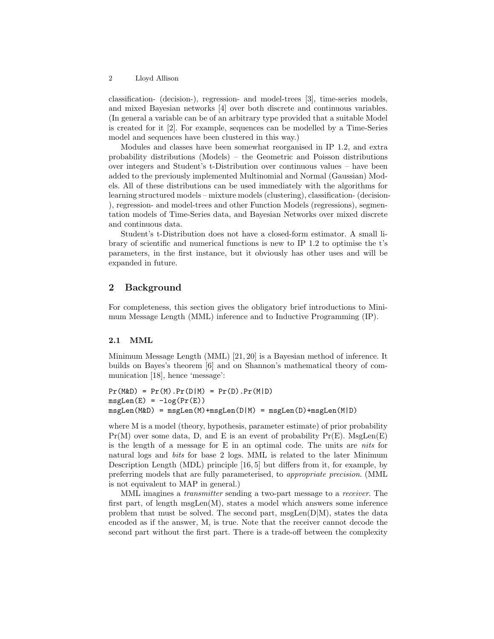classification- (decision-), regression- and model-trees [3], time-series models, and mixed Bayesian networks [4] over both discrete and continuous variables. (In general a variable can be of an arbitrary type provided that a suitable Model is created for it [2]. For example, sequences can be modelled by a Time-Series model and sequences have been clustered in this way.)

Modules and classes have been somewhat reorganised in IP 1.2, and extra probability distributions (Models) – the Geometric and Poisson distributions over integers and Student's t-Distribution over continuous values – have been added to the previously implemented Multinomial and Normal (Gaussian) Models. All of these distributions can be used immediately with the algorithms for learning structured models – mixture models (clustering), classification- (decision- ), regression- and model-trees and other Function Models (regressions), segmentation models of Time-Series data, and Bayesian Networks over mixed discrete and continuous data.

Student's t-Distribution does not have a closed-form estimator. A small library of scientific and numerical functions is new to IP 1.2 to optimise the t's parameters, in the first instance, but it obviously has other uses and will be expanded in future.

# 2 Background

For completeness, this section gives the obligatory brief introductions to Minimum Message Length (MML) inference and to Inductive Programming (IP).

## 2.1 MML

Minimum Message Length (MML) [21, 20] is a Bayesian method of inference. It builds on Bayes's theorem [6] and on Shannon's mathematical theory of communication [18], hence 'message':

```
Pr(M&D) = Pr(M).Pr(D|M) = Pr(D).Pr(M|D)msgLen(E) = -log(Pr(E))msgLen(M&D) = msgLen(M)+msgLen(D|M) = msgLen(D)+msgLen(M|D)
```
where M is a model (theory, hypothesis, parameter estimate) of prior probability  $Pr(M)$  over some data, D, and E is an event of probability  $Pr(E)$ . MsgLen(E) is the length of a message for  $E$  in an optimal code. The units are *nits* for natural logs and bits for base 2 logs. MML is related to the later Minimum Description Length (MDL) principle [16, 5] but differs from it, for example, by preferring models that are fully parameterised, to appropriate precision. (MML is not equivalent to MAP in general.)

MML imagines a transmitter sending a two-part message to a receiver. The first part, of length msgLen(M), states a model which answers some inference problem that must be solved. The second part, msgLen $(D|M)$ , states the data encoded as if the answer, M, is true. Note that the receiver cannot decode the second part without the first part. There is a trade-off between the complexity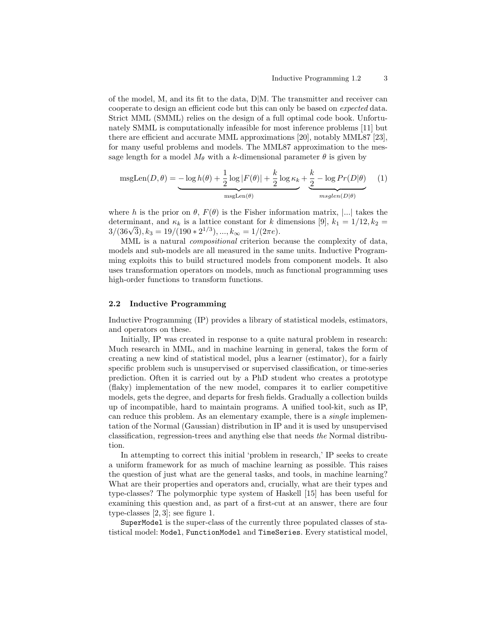of the model, M, and its fit to the data,  $D/M$ . The transmitter and receiver can cooperate to design an efficient code but this can only be based on expected data. Strict MML (SMML) relies on the design of a full optimal code book. Unfortunately SMML is computationally infeasible for most inference problems [11] but there are efficient and accurate MML approximations [20], notably MML87 [23], for many useful problems and models. The MML87 approximation to the message length for a model  $M_{\theta}$  with a k-dimensional parameter  $\theta$  is given by

$$
msgLen(D, \theta) = -\log h(\theta) + \frac{1}{2}\log|F(\theta)| + \frac{k}{2}\log\kappa_k + \underbrace{\frac{k}{2} - \log\Pr(D|\theta)}_{msglen(D|\theta)} \tag{1}
$$

where h is the prior on  $\theta$ ,  $F(\theta)$  is the Fisher information matrix, |...| takes the determinant, and  $\kappa_k$  is a lattice constant for k dimensions [9],  $k_1 = 1/12, k_2 =$ determinant, and  $\kappa_k$  is a lattice constant for  $\kappa$  d<br> $3/(36\sqrt{3}), k_3 = 19/(190 * 2^{1/3}), ..., k_\infty = 1/(2\pi e).$ 

MML is a natural compositional criterion because the complexity of data, models and sub-models are all measured in the same units. Inductive Programming exploits this to build structured models from component models. It also uses transformation operators on models, much as functional programming uses high-order functions to transform functions.

#### 2.2 Inductive Programming

Inductive Programming (IP) provides a library of statistical models, estimators, and operators on these.

Initially, IP was created in response to a quite natural problem in research: Much research in MML, and in machine learning in general, takes the form of creating a new kind of statistical model, plus a learner (estimator), for a fairly specific problem such is unsupervised or supervised classification, or time-series prediction. Often it is carried out by a PhD student who creates a prototype (flaky) implementation of the new model, compares it to earlier competitive models, gets the degree, and departs for fresh fields. Gradually a collection builds up of incompatible, hard to maintain programs. A unified tool-kit, such as IP, can reduce this problem. As an elementary example, there is a single implementation of the Normal (Gaussian) distribution in IP and it is used by unsupervised classification, regression-trees and anything else that needs the Normal distribution.

In attempting to correct this initial 'problem in research,' IP seeks to create a uniform framework for as much of machine learning as possible. This raises the question of just what are the general tasks, and tools, in machine learning? What are their properties and operators and, crucially, what are their types and type-classes? The polymorphic type system of Haskell [15] has been useful for examining this question and, as part of a first-cut at an answer, there are four type-classes [2, 3]; see figure 1.

SuperModel is the super-class of the currently three populated classes of statistical model: Model, FunctionModel and TimeSeries. Every statistical model,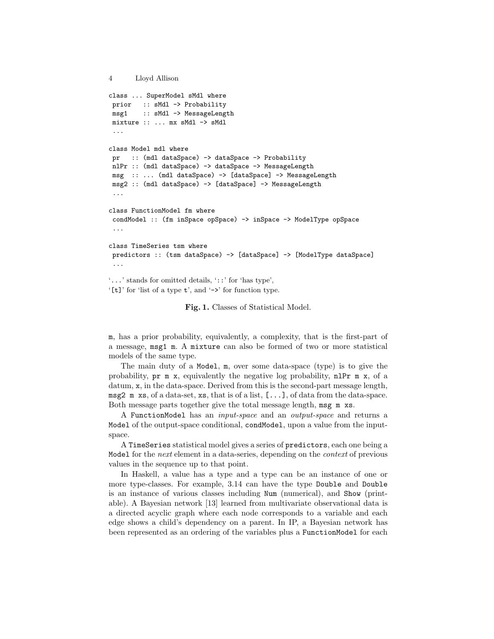```
4 Lloyd Allison
class ... SuperModel sMdl where
prior :: sMdl -> Probability
msg1 :: sMdl -> MessageLength
mixture :: ... mx sMdl -> sMdl
...
class Model mdl where
pr :: (mdl dataSpace) -> dataSpace -> Probability
nlPr :: (mdl dataSpace) -> dataSpace -> MessageLength
msg :: ... (mdl dataSpace) -> [dataSpace] -> MessageLength
msg2 :: (mdl dataSpace) -> [dataSpace] -> MessageLength
...
class FunctionModel fm where
condModel :: (fm inSpace opSpace) -> inSpace -> ModelType opSpace
...
class TimeSeries tsm where
predictors :: (tsm dataSpace) -> [dataSpace] -> [ModelType dataSpace]
 ...
'...' stands for omitted details, '::' for 'has type',
'[t]' for 'list of a type t', and '->' for function type.
```
Fig. 1. Classes of Statistical Model.

m, has a prior probability, equivalently, a complexity, that is the first-part of a message, msg1 m. A mixture can also be formed of two or more statistical models of the same type.

The main duty of a Model, m, over some data-space (type) is to give the probability, pr m x, equivalently the negative log probability, nlPr m x, of a datum, x, in the data-space. Derived from this is the second-part message length, msg2 m xs, of a data-set, xs, that is of a list, [...], of data from the data-space. Both message parts together give the total message length, msg m xs.

A FunctionModel has an input-space and an output-space and returns a Model of the output-space conditional, condModel, upon a value from the inputspace.

A TimeSeries statistical model gives a series of predictors, each one being a Model for the *next* element in a data-series, depending on the *context* of previous values in the sequence up to that point.

In Haskell, a value has a type and a type can be an instance of one or more type-classes. For example, 3.14 can have the type Double and Double is an instance of various classes including Num (numerical), and Show (printable). A Bayesian network [13] learned from multivariate observational data is a directed acyclic graph where each node corresponds to a variable and each edge shows a child's dependency on a parent. In IP, a Bayesian network has been represented as an ordering of the variables plus a FunctionModel for each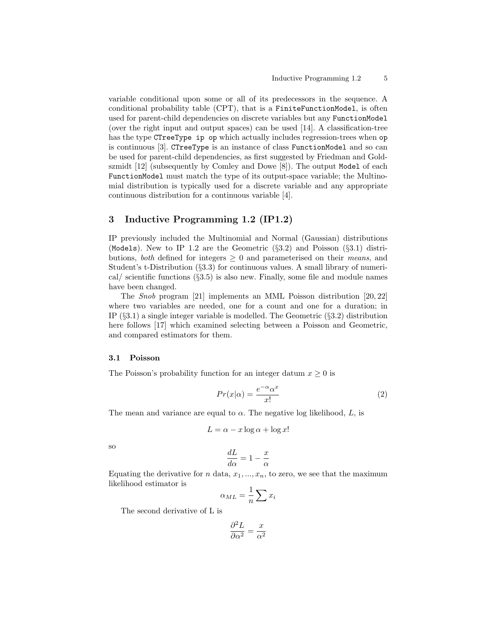variable conditional upon some or all of its predecessors in the sequence. A conditional probability table (CPT), that is a FiniteFunctionModel, is often used for parent-child dependencies on discrete variables but any FunctionModel (over the right input and output spaces) can be used [14]. A classification-tree has the type CTreeType ip op which actually includes regression-trees when op is continuous [3]. CTreeType is an instance of class FunctionModel and so can be used for parent-child dependencies, as first suggested by Friedman and Goldszmidt [12] (subsequently by Comley and Dowe [8]). The output Model of each FunctionModel must match the type of its output-space variable; the Multinomial distribution is typically used for a discrete variable and any appropriate continuous distribution for a continuous variable [4].

# 3 Inductive Programming 1.2 (IP1.2)

IP previously included the Multinomial and Normal (Gaussian) distributions (Models). New to IP 1.2 are the Geometric  $(\S 3.2)$  and Poisson  $(\S 3.1)$  distributions, *both* defined for integers  $\geq 0$  and parameterised on their *means*, and Student's t-Distribution (§3.3) for continuous values. A small library of numerical/ scientific functions  $(\S 3.5)$  is also new. Finally, some file and module names have been changed.

The Snob program [21] implements an MML Poisson distribution [20, 22] where two variables are needed, one for a count and one for a duration; in IP  $(\S 3.1)$  a single integer variable is modelled. The Geometric  $(\S 3.2)$  distribution here follows [17] which examined selecting between a Poisson and Geometric, and compared estimators for them.

#### 3.1 Poisson

The Poisson's probability function for an integer datum  $x \geq 0$  is

$$
Pr(x|\alpha) = \frac{e^{-\alpha}\alpha^x}{x!}
$$
 (2)

The mean and variance are equal to  $\alpha$ . The negative log likelihood, L, is

$$
L = \alpha - x \log \alpha + \log x!
$$

so

$$
\frac{dL}{d\alpha}=1-\frac{x}{\alpha}
$$

Equating the derivative for n data,  $x_1, ..., x_n$ , to zero, we see that the maximum likelihood estimator is

$$
\alpha_{ML} = \frac{1}{n} \sum x_i
$$

The second derivative of L is

$$
\frac{\partial^2 L}{\partial \alpha^2} = \frac{x}{\alpha^2}
$$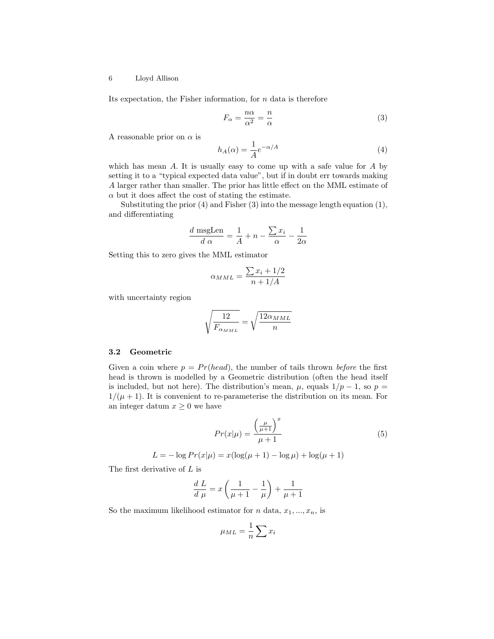Its expectation, the Fisher information, for  $n$  data is therefore

$$
F_{\alpha} = \frac{n\alpha}{\alpha^2} = \frac{n}{\alpha} \tag{3}
$$

A reasonable prior on  $\alpha$  is

$$
h_A(\alpha) = \frac{1}{A} e^{-\alpha/A} \tag{4}
$$

which has mean  $A$ . It is usually easy to come up with a safe value for  $A$  by setting it to a "typical expected data value", but if in doubt err towards making A larger rather than smaller. The prior has little effect on the MML estimate of  $\alpha$  but it does affect the cost of stating the estimate.

Substituting the prior (4) and Fisher (3) into the message length equation (1), and differentiating

$$
\frac{d \text{ msgLen}}{d \alpha} = \frac{1}{A} + n - \frac{\sum x_i}{\alpha} - \frac{1}{2\alpha}
$$

Setting this to zero gives the MML estimator

$$
\alpha_{MML} = \frac{\sum x_i + 1/2}{n + 1/A}
$$

with uncertainty region

$$
\sqrt{\frac{12}{F_{\alpha_{MML}}}} = \sqrt{\frac{12\alpha_{MML}}{n}}
$$

## 3.2 Geometric

Given a coin where  $p = Pr(head)$ , the number of tails thrown *before* the first head is thrown is modelled by a Geometric distribution (often the head itself is included, but not here). The distribution's mean,  $\mu$ , equals  $1/p - 1$ , so  $p =$  $1/(\mu+1)$ . It is convenient to re-parameterise the distribution on its mean. For an integer datum  $x \geq 0$  we have

$$
Pr(x|\mu) = \frac{\left(\frac{\mu}{\mu+1}\right)^x}{\mu+1} \tag{5}
$$

$$
L = -\log Pr(x|\mu) = x(\log(\mu + 1) - \log \mu) + \log(\mu + 1)
$$

The first derivative of L is

$$
\frac{d}{d\mu} = x\left(\frac{1}{\mu+1} - \frac{1}{\mu}\right) + \frac{1}{\mu+1}
$$

So the maximum likelihood estimator for n data,  $x_1, ..., x_n$ , is

$$
\mu_{ML} = \frac{1}{n} \sum x_i
$$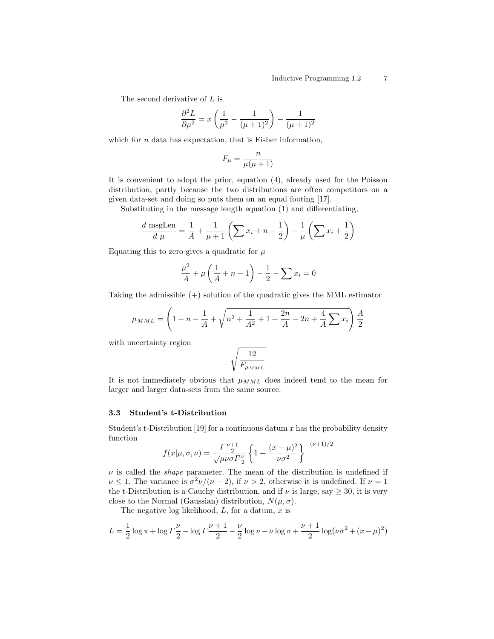The second derivative of L is

$$
\frac{\partial^2 L}{\partial \mu^2} = x \left( \frac{1}{\mu^2} - \frac{1}{(\mu + 1)^2} \right) - \frac{1}{(\mu + 1)^2}
$$

which for  $n$  data has expectation, that is Fisher information,

$$
F_{\mu} = \frac{n}{\mu(\mu+1)}
$$

It is convenient to adopt the prior, equation (4), already used for the Poisson distribution, partly because the two distributions are often competitors on a given data-set and doing so puts them on an equal footing [17].

Substituting in the message length equation (1) and differentiating,

$$
\frac{d \text{ msgLen}}{d \mu} = \frac{1}{A} + \frac{1}{\mu + 1} \left( \sum x_i + n - \frac{1}{2} \right) - \frac{1}{\mu} \left( \sum x_i + \frac{1}{2} \right)
$$

Equating this to zero gives a quadratic for  $\mu$ 

$$
\frac{\mu^2}{A} + \mu \left( \frac{1}{A} + n - 1 \right) - \frac{1}{2} - \sum x_i = 0
$$

Taking the admissible  $(+)$  solution of the quadratic gives the MML estimator

$$
\mu_{MML} = \left(1 - n - \frac{1}{A} + \sqrt{n^2 + \frac{1}{A^2} + 1 + \frac{2n}{A} - 2n + \frac{4}{A}\sum x_i}\right)\frac{A}{2}
$$

with uncertainty region

$$
\sqrt{\frac{12}{F_{\mu_{MML}}}}
$$

It is not immediately obvious that  $\mu_{MML}$  does indeed tend to the mean for larger and larger data-sets from the same source.

#### 3.3 Student's t-Distribution

Student's t-Distribution [19] for a continuous datum  $x$  has the probability density function  $1)/2$ 

$$
f(x|\mu,\sigma,\nu) = \frac{\Gamma^{\frac{\nu+1}{2}}}{\sqrt{\mu\nu}\sigma\Gamma^{\frac{\nu}{2}}}\left\{1+\frac{(x-\mu)^2}{\nu\sigma^2}\right\}^{-(\nu+1)}
$$

 $\nu$  is called the *shape* parameter. The mean of the distribution is undefined if  $\nu \leq 1$ . The variance is  $\sigma^2 \nu/(\nu - 2)$ , if  $\nu > 2$ , otherwise it is undefined. If  $\nu = 1$ the t-Distribution is a Cauchy distribution, and if  $\nu$  is large, say  $\geq 30$ , it is very close to the Normal (Gaussian) distribution,  $N(\mu, \sigma)$ .

The negative log likelihood,  $L$ , for a datum,  $x$  is

$$
L = \frac{1}{2}\log \pi + \log \Gamma \frac{\nu}{2} - \log \Gamma \frac{\nu+1}{2} - \frac{\nu}{2}\log \nu - \nu \log \sigma + \frac{\nu+1}{2}\log(\nu \sigma^2 + (x - \mu)^2)
$$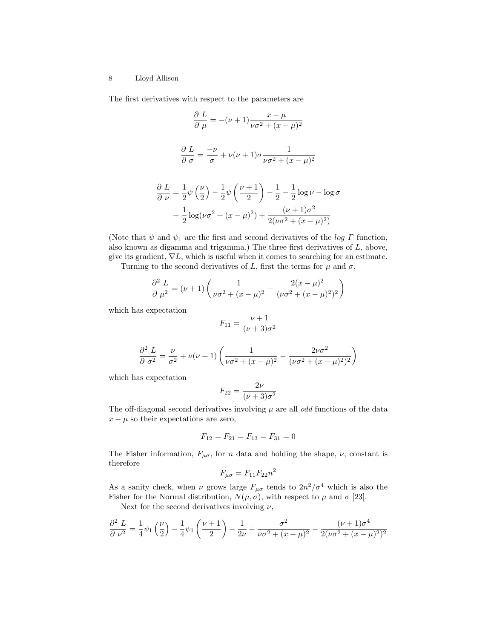#### 8 Lloyd Allison

The first derivatives with respect to the parameters are

$$
\frac{\partial L}{\partial \mu} = -(\nu + 1) \frac{x - \mu}{\nu \sigma^2 + (x - \mu)^2}
$$

$$
\frac{\partial L}{\partial \sigma} = \frac{-\nu}{\sigma} + \nu(\nu + 1)\sigma \frac{1}{\nu \sigma^2 + (x - \mu)^2}
$$

$$
\frac{\partial L}{\partial \nu} = \frac{1}{2} \psi \left(\frac{\nu}{2}\right) - \frac{1}{2} \psi \left(\frac{\nu + 1}{2}\right) - \frac{1}{2} - \frac{1}{2} \log \nu - \log \sigma
$$

$$
+ \frac{1}{2} \log(\nu \sigma^2 + (x - \mu)^2) + \frac{(\nu + 1)\sigma^2}{2(\nu \sigma^2 + (x - \mu)^2)}
$$

(Note that  $\psi$  and  $\psi_1$  are the first and second derivatives of the log  $\Gamma$  function, also known as digamma and trigamma.) The three first derivatives of  $L$ , above, give its gradient,  $\nabla L$ , which is useful when it comes to searching for an estimate.

Turning to the second derivatives of L, first the terms for  $\mu$  and  $\sigma$ ,

$$
\frac{\partial^2 L}{\partial \mu^2} = (\nu + 1) \left( \frac{1}{\nu \sigma^2 + (x - \mu)^2} - \frac{2(x - \mu)^2}{(\nu \sigma^2 + (x - \mu)^2)^2} \right)
$$

which has expectation

$$
F_{11} = \frac{\nu + 1}{(\nu + 3)\sigma^2}
$$

$$
\frac{\partial^2 L}{\partial \sigma^2} = \frac{\nu}{\sigma^2} + \nu(\nu + 1) \left( \frac{1}{\nu \sigma^2 + (x - \mu)^2} - \frac{2\nu \sigma^2}{(\nu \sigma^2 + (x - \mu)^2)^2} \right)
$$

which has expectation

$$
F_{22} = \frac{2\nu}{(\nu+3)\sigma^2}
$$

The off-diagonal second derivatives involving  $\mu$  are all *odd* functions of the data  $x - \mu$  so their expectations are zero,

$$
F_{12} = F_{21} = F_{13} = F_{31} = 0
$$

The Fisher information,  $F_{\mu\sigma}$ , for n data and holding the shape,  $\nu$ , constant is therefore

$$
F_{\mu\sigma} = F_{11}F_{22}n^2
$$

As a sanity check, when  $\nu$  grows large  $F_{\mu\sigma}$  tends to  $2n^2/\sigma^4$  which is also the Fisher for the Normal distribution,  $N(\mu, \sigma)$ , with respect to  $\mu$  and  $\sigma$  [23].

Next for the second derivatives involving  $\nu$ ,

$$
\frac{\partial^2 L}{\partial \nu^2} = \frac{1}{4} \psi_1 \left(\frac{\nu}{2}\right) - \frac{1}{4} \psi_1 \left(\frac{\nu+1}{2}\right) - \frac{1}{2\nu} + \frac{\sigma^2}{\nu \sigma^2 + (x-\mu)^2} - \frac{(\nu+1)\sigma^4}{2(\nu \sigma^2 + (x-\mu)^2)^2}
$$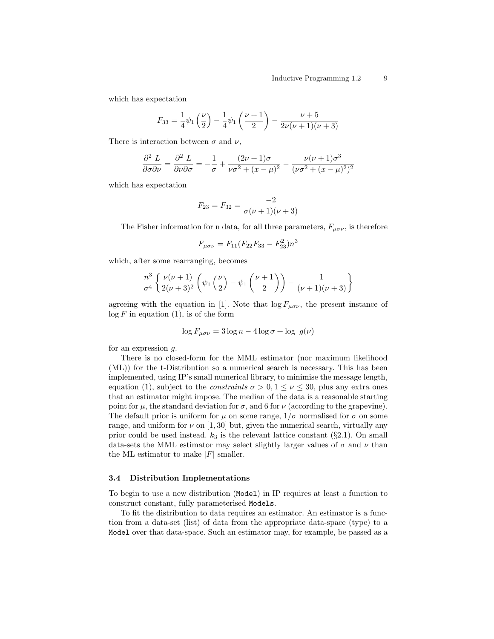which has expectation

$$
F_{33} = \frac{1}{4}\psi_1\left(\frac{\nu}{2}\right) - \frac{1}{4}\psi_1\left(\frac{\nu+1}{2}\right) - \frac{\nu+5}{2\nu(\nu+1)(\nu+3)}
$$

There is interaction between  $\sigma$  and  $\nu$ ,

$$
\frac{\partial^2 L}{\partial \sigma \partial \nu} = \frac{\partial^2 L}{\partial \nu \partial \sigma} = -\frac{1}{\sigma} + \frac{(2\nu + 1)\sigma}{\nu \sigma^2 + (x - \mu)^2} - \frac{\nu(\nu + 1)\sigma^3}{(\nu \sigma^2 + (x - \mu)^2)^2}
$$

which has expectation

$$
F_{23} = F_{32} = \frac{-2}{\sigma(\nu+1)(\nu+3)}
$$

The Fisher information for n data, for all three parameters,  $F_{\mu\sigma\nu}$ , is therefore

$$
F_{\mu\sigma\nu} = F_{11}(F_{22}F_{33} - F_{23}^2)n^3
$$

which, after some rearranging, becomes

$$
\frac{n^3}{\sigma^4} \left\{ \frac{\nu(\nu+1)}{2(\nu+3)^2} \left( \psi_1\left(\frac{\nu}{2}\right) - \psi_1\left(\frac{\nu+1}{2}\right) \right) - \frac{1}{(\nu+1)(\nu+3)} \right\}
$$

agreeing with the equation in [1]. Note that  $\log F_{\mu\sigma\nu}$ , the present instance of  $\log F$  in equation (1), is of the form

$$
\log F_{\mu\sigma\nu} = 3\log n - 4\log \sigma + \log \ g(\nu)
$$

for an expression g.

There is no closed-form for the MML estimator (nor maximum likelihood (ML)) for the t-Distribution so a numerical search is necessary. This has been implemented, using IP's small numerical library, to minimise the message length, equation (1), subject to the *constraints*  $\sigma > 0, 1 \leq \nu \leq 30$ , plus any extra ones that an estimator might impose. The median of the data is a reasonable starting point for  $\mu$ , the standard deviation for  $\sigma$ , and 6 for  $\nu$  (according to the grapevine). The default prior is uniform for  $\mu$  on some range,  $1/\sigma$  normalised for  $\sigma$  on some range, and uniform for  $\nu$  on [1,30] but, given the numerical search, virtually any prior could be used instead.  $k_3$  is the relevant lattice constant ( $\S 2.1$ ). On small data-sets the MML estimator may select slightly larger values of  $\sigma$  and  $\nu$  than the ML estimator to make  $|F|$  smaller.

#### 3.4 Distribution Implementations

To begin to use a new distribution (Model) in IP requires at least a function to construct constant, fully parameterised Models.

To fit the distribution to data requires an estimator. An estimator is a function from a data-set (list) of data from the appropriate data-space (type) to a Model over that data-space. Such an estimator may, for example, be passed as a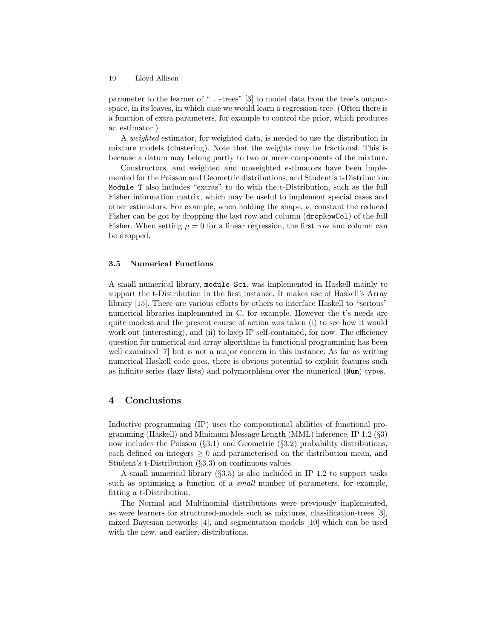parameter to the learner of ". . .-trees" [3] to model data from the tree's outputspace, in its leaves, in which case we would learn a regression-tree. (Often there is a function of extra parameters, for example to control the prior, which produces an estimator.)

A weighted estimator, for weighted data, is needed to use the distribution in mixture models (clustering). Note that the weights may be fractional. This is because a datum may belong partly to two or more components of the mixture.

Constructors, and weighted and unweighted estimators have been implemented for the Poisson and Geometric distributions, and Student's t-Distribution. Module T also includes "extras" to do with the t-Distribution, such as the full Fisher information matrix, which may be useful to implement special cases and other estimators. For example, when holding the shape,  $\nu$ , constant the reduced Fisher can be got by dropping the last row and column (dropRowCol) of the full Fisher. When setting  $\mu = 0$  for a linear regression, the first row and column can be dropped.

#### 3.5 Numerical Functions

A small numerical library, module Sci, was implemented in Haskell mainly to support the t-Distribution in the first instance. It makes use of Haskell's Array library [15]. There are various efforts by others to interface Haskell to "serious" numerical libraries implemented in C, for example. However the t's needs are quite modest and the present course of action was taken (i) to see how it would work out (interesting), and (ii) to keep IP self-contained, for now. The efficiency question for numerical and array algorithms in functional programming has been well examined [7] but is not a major concern in this instance. As far as writing numerical Haskell code goes, there is obvious potential to exploit features such as infinite series (lazy lists) and polymorphism over the numerical (Num) types.

# 4 Conclusions

Inductive programming (IP) uses the compositional abilities of functional programming (Haskell) and Minimum Message Length (MML) inference. IP 1.2 (§3) now includes the Poisson (§3.1) and Geometric (§3.2) probability distributions, each defined on integers  $\geq 0$  and parameterised on the distribution mean, and Student's t-Distribution (§3.3) on continuous values.

A small numerical library  $(\S 3.5)$  is also included in IP 1.2 to support tasks such as optimising a function of a small number of parameters, for example, fitting a t-Distribution.

The Normal and Multinomial distributions were previously implemented, as were learners for structured-models such as mixtures, classification-trees [3], mixed Bayesian networks [4], and segmentation models [10] which can be used with the new, and earlier, distributions.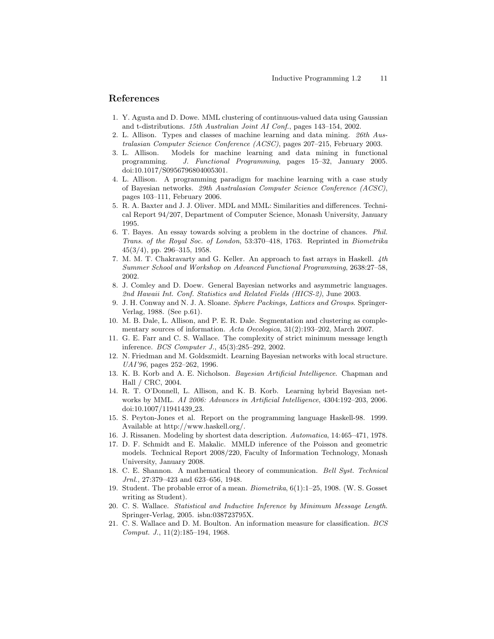# References

- 1. Y. Agusta and D. Dowe. MML clustering of continuous-valued data using Gaussian and t-distributions. 15th Australian Joint AI Conf., pages 143–154, 2002.
- 2. L. Allison. Types and classes of machine learning and data mining. 26th Australasian Computer Science Conference (ACSC), pages 207–215, February 2003.
- 3. L. Allison. Models for machine learning and data mining in functional programming. J. Functional Programming, pages 15–32, January 2005. doi:10.1017/S0956796804005301.
- 4. L. Allison. A programming paradigm for machine learning with a case study of Bayesian networks. 29th Australasian Computer Science Conference (ACSC), pages 103–111, February 2006.
- 5. R. A. Baxter and J. J. Oliver. MDL and MML: Similarities and differences. Technical Report 94/207, Department of Computer Science, Monash University, January 1995.
- 6. T. Bayes. An essay towards solving a problem in the doctrine of chances. Phil. Trans. of the Royal Soc. of London, 53:370–418, 1763. Reprinted in Biometrika 45(3/4), pp. 296–315, 1958.
- 7. M. M. T. Chakravarty and G. Keller. An approach to fast arrays in Haskell. 4th Summer School and Workshop on Advanced Functional Programming, 2638:27–58, 2002.
- 8. J. Comley and D. Doew. General Bayesian networks and asymmetric languages. 2nd Hawaii Int. Conf. Statistics and Related Fields (HICS-2), June 2003.
- 9. J. H. Conway and N. J. A. Sloane. Sphere Packings, Lattices and Groups. Springer-Verlag, 1988. (See p.61).
- 10. M. B. Dale, L. Allison, and P. E. R. Dale. Segmentation and clustering as complementary sources of information. Acta Oecologica, 31(2):193–202, March 2007.
- 11. G. E. Farr and C. S. Wallace. The complexity of strict minimum message length inference. BCS Computer J., 45(3):285–292, 2002.
- 12. N. Friedman and M. Goldszmidt. Learning Bayesian networks with local structure. UAI'96, pages 252–262, 1996.
- 13. K. B. Korb and A. E. Nicholson. Bayesian Artificial Intelligence. Chapman and Hall / CRC, 2004.
- 14. R. T. O'Donnell, L. Allison, and K. B. Korb. Learning hybrid Bayesian networks by MML. AI 2006: Advances in Artificial Intelligence, 4304:192–203, 2006. doi:10.1007/11941439 23.
- 15. S. Peyton-Jones et al. Report on the programming language Haskell-98. 1999. Available at http://www.haskell.org/.
- 16. J. Rissanen. Modeling by shortest data description. Automatica, 14:465–471, 1978.
- 17. D. F. Schmidt and E. Makalic. MMLD inference of the Poisson and geometric models. Technical Report 2008/220, Faculty of Information Technology, Monash University, January 2008.
- 18. C. E. Shannon. A mathematical theory of communication. Bell Syst. Technical Jrnl., 27:379–423 and 623–656, 1948.
- 19. Student. The probable error of a mean. Biometrika, 6(1):1–25, 1908. (W. S. Gosset writing as Student).
- 20. C. S. Wallace. Statistical and Inductive Inference by Minimum Message Length. Springer-Verlag, 2005. isbn:038723795X.
- 21. C. S. Wallace and D. M. Boulton. An information measure for classification. BCS Comput. J., 11(2):185–194, 1968.